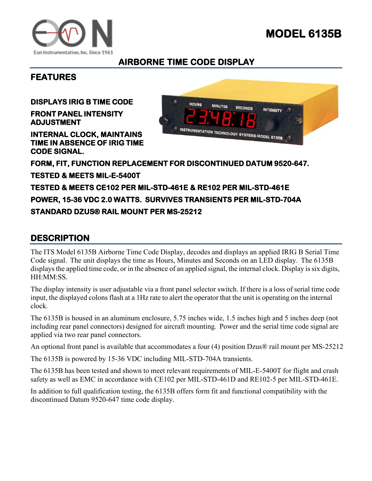



## **AIRBORNE TIME CODE DISPLAY**

## **FEATURES**

**DISPLAYS IRIG B TIME CODE** 

**FRONT PANEL INTENSITY ADJUSTMENT** 

**INTERNAL CLOCK, MAINTAINS TIME IN ABSENCE OF IRIG TIME CODE SIGNAL.** 



**FORM, FIT, FUNCTION REPLACEMENT FOR DISCONTINUED DATUM 9520-647. TESTED & MEETS MIL-E-5400T TESTED & MEETS CE102 PER MIL-STD-461E & RE102 PER MIL-STD-461E POWER, 15-36 VDC 2.0 WATTS. SURVIVES TRANSIENTS PER MIL-STD-704A STANDARD DZUS® RAIL MOUNT PER MS-25212** 

## **DESCRIPTION**

The ITS Model 6135B Airborne Time Code Display, decodes and displays an applied IRIG B Serial Time Code signal. The unit displays the time as Hours, Minutes and Seconds on an LED display. The 6135B displays the applied time code, or in the absence of an applied signal, the internal clock. Display is six digits, HH:MM:SS.

The display intensity is user adjustable via a front panel selector switch. If there is a loss of serial time code input, the displayed colons flash at a 1Hz rate to alert the operator that the unit is operating on the internal clock.

The 6135B is housed in an aluminum enclosure, 5.75 inches wide, 1.5 inches high and 5 inches deep (not including rear panel connectors) designed for aircraft mounting. Power and the serial time code signal are applied via two rear panel connectors.

An optional front panel is available that accommodates a four (4) position Dzus® rail mount per MS-25212

The 6135B is powered by 15-36 VDC including MIL-STD-704A transients.

The 6135B has been tested and shown to meet relevant requirements of MIL-E-5400T for flight and crash safety as well as EMC in accordance with CE102 per MIL-STD-461D and RE102-5 per MIL-STD-461E.

In addition to full qualification testing, the 6135B offers form fit and functional compatibility with the discontinued Datum 9520-647 time code display.